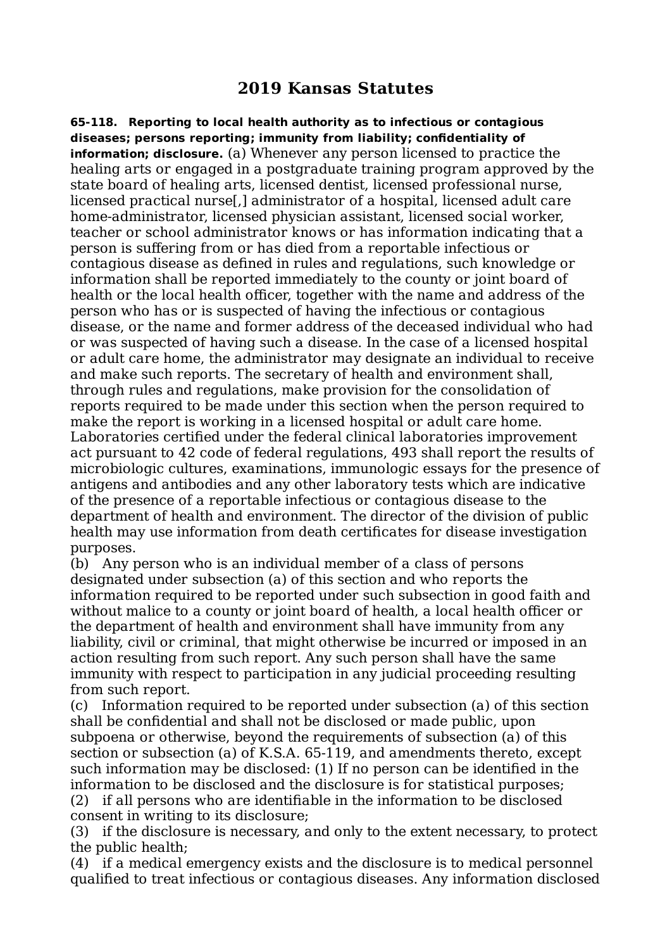## **2019 Kansas Statutes**

**65-118. Reporting to local health authority as to infectious or contagious diseases; persons reporting; immunity from liability; confidentiality of information; disclosure.** (a) Whenever any person licensed to practice the healing arts or engaged in a postgraduate training program approved by the state board of healing arts, licensed dentist, licensed professional nurse, licensed practical nurse[,] administrator of a hospital, licensed adult care home-administrator, licensed physician assistant, licensed social worker, teacher or school administrator knows or has information indicating that a person is suffering from or has died from a reportable infectious or contagious disease as defined in rules and regulations, such knowledge or information shall be reported immediately to the county or joint board of health or the local health officer, together with the name and address of the person who has or is suspected of having the infectious or contagious disease, or the name and former address of the deceased individual who had or was suspected of having such a disease. In the case of a licensed hospital or adult care home, the administrator may designate an individual to receive and make such reports. The secretary of health and environment shall, through rules and regulations, make provision for the consolidation of reports required to be made under this section when the person required to make the report is working in a licensed hospital or adult care home. Laboratories certified under the federal clinical laboratories improvement act pursuant to 42 code of federal regulations, 493 shall report the results of microbiologic cultures, examinations, immunologic essays for the presence of antigens and antibodies and any other laboratory tests which are indicative of the presence of a reportable infectious or contagious disease to the department of health and environment. The director of the division of public health may use information from death certificates for disease investigation purposes.

(b) Any person who is an individual member of a class of persons designated under subsection (a) of this section and who reports the information required to be reported under such subsection in good faith and without malice to a county or joint board of health, a local health officer or the department of health and environment shall have immunity from any liability, civil or criminal, that might otherwise be incurred or imposed in an action resulting from such report. Any such person shall have the same immunity with respect to participation in any judicial proceeding resulting from such report.

(c) Information required to be reported under subsection (a) of this section shall be confidential and shall not be disclosed or made public, upon subpoena or otherwise, beyond the requirements of subsection (a) of this section or subsection (a) of K.S.A. 65-119, and amendments thereto, except such information may be disclosed: (1) If no person can be identified in the information to be disclosed and the disclosure is for statistical purposes;

(2) if all persons who are identifiable in the information to be disclosed consent in writing to its disclosure;

(3) if the disclosure is necessary, and only to the extent necessary, to protect the public health;

(4) if a medical emergency exists and the disclosure is to medical personnel qualified to treat infectious or contagious diseases. Any information disclosed